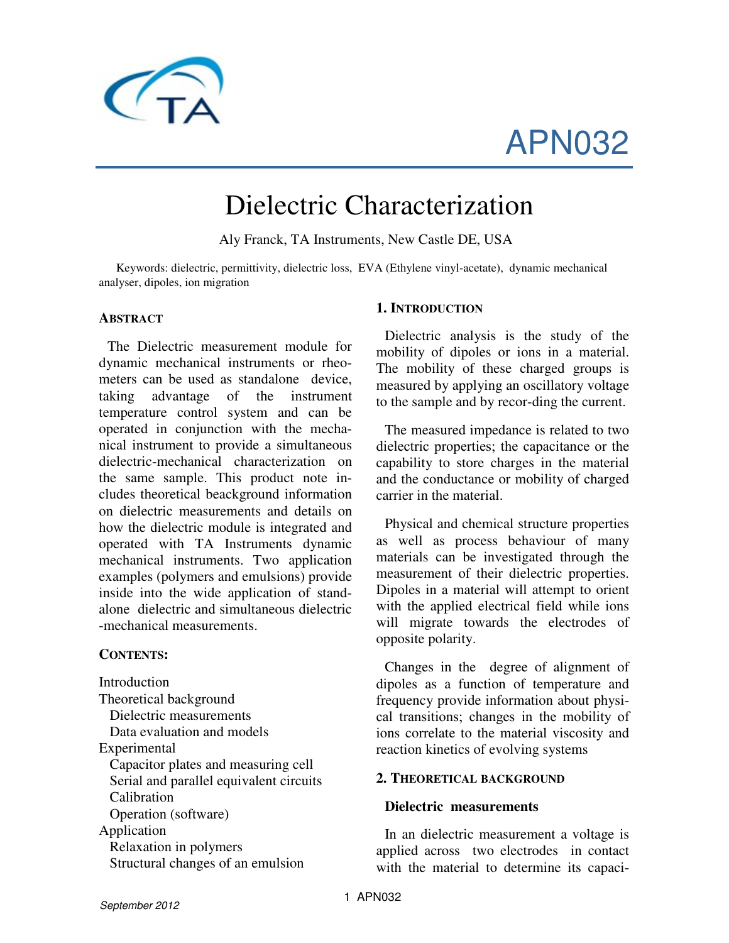

# APN032

# Dielectric Characterization

Aly Franck, TA Instruments, New Castle DE, USA

Keywords: dielectric, permittivity, dielectric loss, EVA (Ethylene vinyl-acetate), dynamic mechanical analyser, dipoles, ion migration

#### **ABSTRACT**

The Dielectric measurement module for dynamic mechanical instruments or rheometers can be used as standalone device, taking advantage of the instrument temperature control system and can be operated in conjunction with the mechanical instrument to provide a simultaneous dielectric-mechanical characterization on the same sample. This product note includes theoretical beackground information on dielectric measurements and details on how the dielectric module is integrated and operated with TA Instruments dynamic mechanical instruments. Two application examples (polymers and emulsions) provide inside into the wide application of standalone dielectric and simultaneous dielectric -mechanical measurements.

#### **CONTENTS:**

Introduction Theoretical background Dielectric measurements Data evaluation and models Experimental Capacitor plates and measuring cell Serial and parallel equivalent circuits Calibration Operation (software) Application Relaxation in polymers Structural changes of an emulsion

#### **1. INTRODUCTION**

Dielectric analysis is the study of the mobility of dipoles or ions in a material. The mobility of these charged groups is measured by applying an oscillatory voltage to the sample and by recor-ding the current.

The measured impedance is related to two dielectric properties; the capacitance or the capability to store charges in the material and the conductance or mobility of charged carrier in the material.

Physical and chemical structure properties as well as process behaviour of many materials can be investigated through the measurement of their dielectric properties. Dipoles in a material will attempt to orient with the applied electrical field while ions will migrate towards the electrodes of opposite polarity.

Changes in the degree of alignment of dipoles as a function of temperature and frequency provide information about physical transitions; changes in the mobility of ions correlate to the material viscosity and reaction kinetics of evolving systems

#### **2. THEORETICAL BACKGROUND**

#### **Dielectric measurements**

In an dielectric measurement a voltage is applied across two electrodes in contact with the material to determine its capaci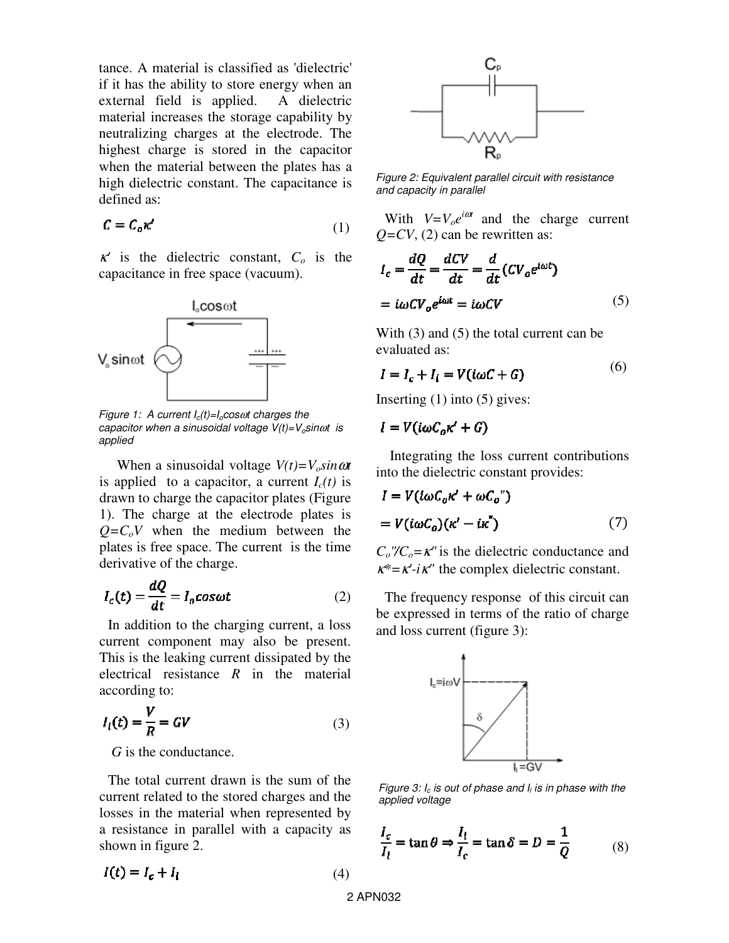tance. A material is classified as 'dielectric' if it has the ability to store energy when an external field is applied. A dielectric material increases the storage capability by neutralizing charges at the electrode. The highest charge is stored in the capacitor when the material between the plates has a high dielectric constant. The capacitance is defined as:

$$
\mathcal{C} = \mathcal{C}_o \kappa' \tag{1}
$$

<sup>κ</sup>*'* is the dielectric constant, *Co* is the capacitance in free space (vacuum).



Figure 1: A current  $I_c(t)=I_0\cos\omega t$  charges the capacitor when a sinusoidal voltage  $V(t)=V_o$ sin $\omega t$  is applied

When a sinusoidal voltage  $V(t)=V_o \sin \omega t$ is applied to a capacitor, a current  $I_c(t)$  is drawn to charge the capacitor plates (Figure 1). The charge at the electrode plates is  $Q = C_0 V$  when the medium between the plates is free space. The current is the time derivative of the charge.

$$
I_c(t) = \frac{dQ}{dt} = I_o \cos \omega t \tag{2}
$$

In addition to the charging current, a loss current component may also be present. This is the leaking current dissipated by the electrical resistance *R* in the material according to:

$$
I_l(t) = \frac{V}{R} = GV \tag{3}
$$

*G* is the conductance.

The total current drawn is the sum of the current related to the stored charges and the losses in the material when represented by a resistance in parallel with a capacity as shown in figure 2.

$$
I(t) = I_c + I_l \tag{4}
$$



Figure 2: Equivalent parallel circuit with resistance and capacity in parallel

With  $V=V_0e^{i\omega t}$  and the charge current  $Q=CV$ , (2) can be rewritten as:

$$
I_c = \frac{dQ}{dt} = \frac{dCV}{dt} = \frac{d}{dt}(CV_o e^{i\omega t})
$$

$$
= i\omega CV_o e^{i\omega t} = i\omega CV
$$
(5)

With (3) and (5) the total current can be evaluated as:

$$
I = I_c + I_l = V(i\omega C + G)
$$
 (6)

Inserting  $(1)$  into  $(5)$  gives:

$$
I = V(i\omega C_o \kappa' + G)
$$

 Integrating the loss current contributions into the dielectric constant provides:

$$
I = V(i\omega C_o \kappa' + \omega C_o")
$$
  
=  $V(i\omega C_o)(\kappa' - i\kappa'')$  (7)

 $C_0$ "/ $C_0$ = $\kappa$ " is the dielectric conductance and <sup>κ</sup>*\*=*κ*'-i*κ*"* the complex dielectric constant.

The frequency response of this circuit can be expressed in terms of the ratio of charge and loss current (figure 3):



Figure 3:  $I_c$  is out of phase and  $I_l$  is in phase with the applied voltage

$$
\frac{I_c}{I_l} = \tan \theta \Rightarrow \frac{I_l}{I_c} = \tan \delta = D = \frac{1}{Q}
$$
 (8)

2 APN032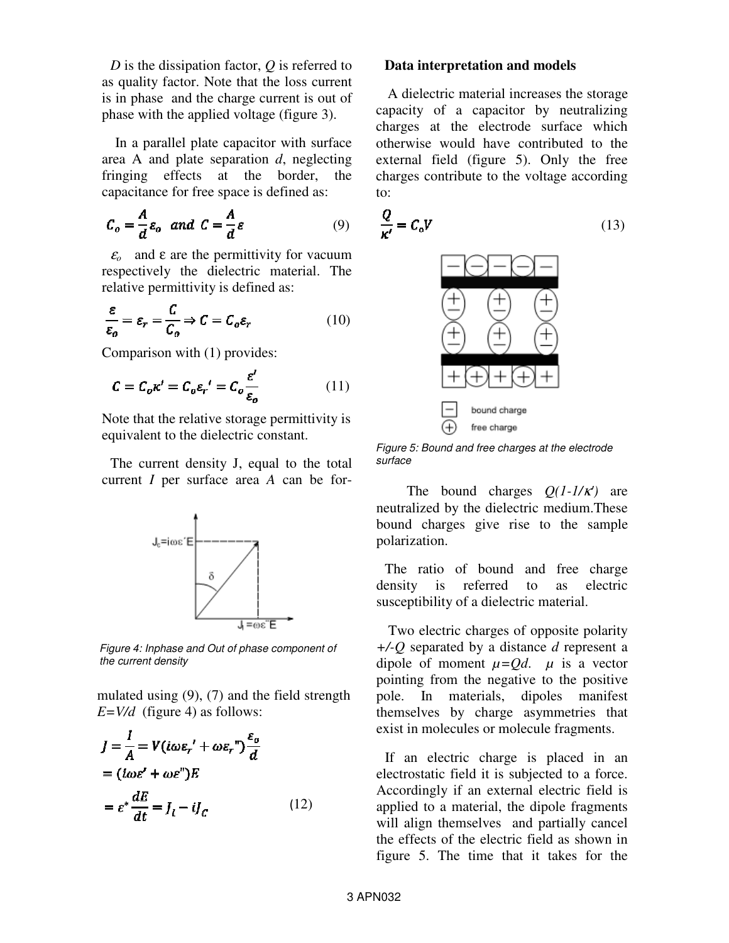*D* is the dissipation factor, *Q* is referred to as quality factor. Note that the loss current is in phase and the charge current is out of phase with the applied voltage (figure 3).

 In a parallel plate capacitor with surface area A and plate separation *d*, neglecting fringing effects at the border, the capacitance for free space is defined as:

$$
C_o = \frac{A}{d} \varepsilon_o \quad and \quad C = \frac{A}{d} \varepsilon \tag{9}
$$

 $\epsilon$ <sup>o</sup> and  $\epsilon$  are the permittivity for vacuum respectively the dielectric material. The relative permittivity is defined as:

$$
\frac{\varepsilon}{\varepsilon_o} = \varepsilon_r = \frac{C}{C_o} \Rightarrow C = C_o \varepsilon_r \tag{10}
$$

Comparison with (1) provides:

$$
C = C_o \kappa' = C_o \varepsilon_r' = C_o \frac{\varepsilon'}{\varepsilon_o}
$$
 (11)

Note that the relative storage permittivity is equivalent to the dielectric constant.

The current density J, equal to the total current *I* per surface area *A* can be for-



Figure 4: Inphase and Out of phase component of the current density

mulated using (9), (7) and the field strength  $E=V/d$  (figure 4) as follows:

$$
J = \frac{I}{A} = V(i\omega \varepsilon_r' + \omega \varepsilon_r") \frac{\varepsilon_o}{d}
$$
  
=  $(i\omega \varepsilon' + \omega \varepsilon")E$   
=  $\varepsilon^* \frac{dE}{dt} = J_l - iJ_c$  (12)

# **Data interpretation and models**

A dielectric material increases the storage capacity of a capacitor by neutralizing charges at the electrode surface which otherwise would have contributed to the external field (figure 5). Only the free charges contribute to the voltage according to:

$$
\frac{Q}{\kappa'} = C_o V \tag{13}
$$



Figure 5: Bound and free charges at the electrode surface

 The bound charges *Q(1-1/*κ*')* are neutralized by the dielectric medium.These bound charges give rise to the sample polarization.

The ratio of bound and free charge density is referred to as electric susceptibility of a dielectric material.

Two electric charges of opposite polarity *+/-Q* separated by a distance *d* represent a dipole of moment  $\mu = Qd$ .  $\mu$  is a vector pointing from the negative to the positive pole. In materials, dipoles manifest themselves by charge asymmetries that exist in molecules or molecule fragments.

If an electric charge is placed in an electrostatic field it is subjected to a force. Accordingly if an external electric field is applied to a material, the dipole fragments will align themselves and partially cancel the effects of the electric field as shown in figure 5. The time that it takes for the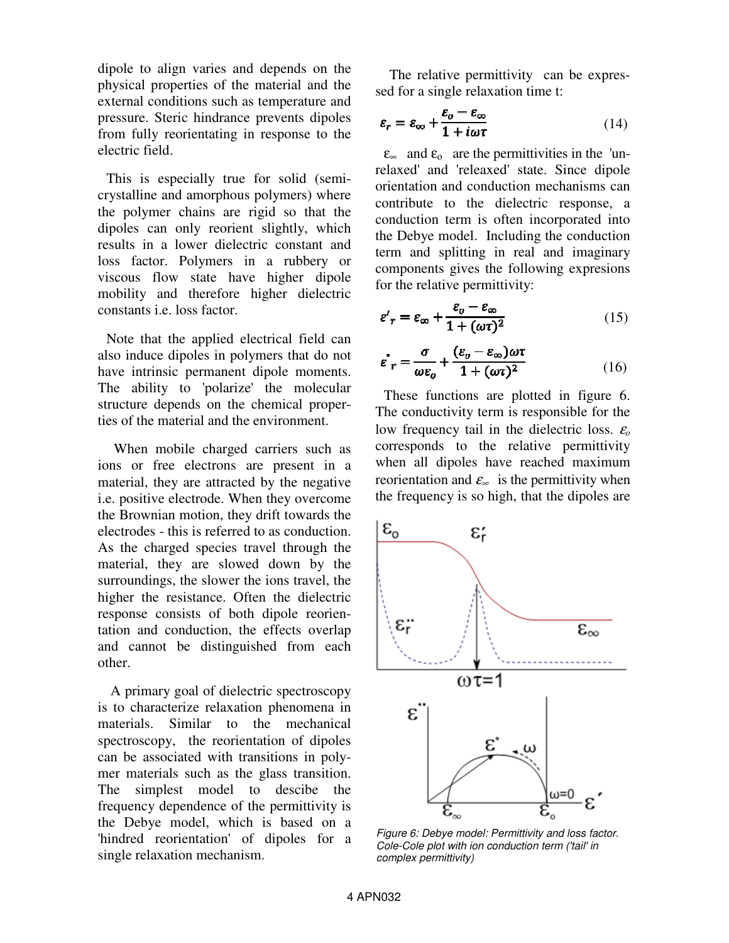dipole to align varies and depends on the physical properties of the material and the external conditions such as temperature and pressure. Steric hindrance prevents dipoles from fully reorientating in response to the electric field.

This is especially true for solid (semicrystalline and amorphous polymers) where the polymer chains are rigid so that the dipoles can only reorient slightly, which results in a lower dielectric constant and loss factor. Polymers in a rubbery or viscous flow state have higher dipole mobility and therefore higher dielectric constants i.e. loss factor.

Note that the applied electrical field can also induce dipoles in polymers that do not have intrinsic permanent dipole moments. The ability to 'polarize' the molecular structure depends on the chemical properties of the material and the environment.

 When mobile charged carriers such as ions or free electrons are present in a material, they are attracted by the negative i.e. positive electrode. When they overcome the Brownian motion, they drift towards the electrodes - this is referred to as conduction. As the charged species travel through the material, they are slowed down by the surroundings, the slower the ions travel, the higher the resistance. Often the dielectric response consists of both dipole reorientation and conduction, the effects overlap and cannot be distinguished from each other.

 A primary goal of dielectric spectroscopy is to characterize relaxation phenomena in materials. Similar to the mechanical spectroscopy, the reorientation of dipoles can be associated with transitions in polymer materials such as the glass transition. The simplest model to descibe the frequency dependence of the permittivity is the Debye model, which is based on a 'hindred reorientation' of dipoles for a single relaxation mechanism.

 The relative permittivity can be expressed for a single relaxation time t:

$$
\varepsilon_r = \varepsilon_\infty + \frac{\varepsilon_o - \varepsilon_\infty}{1 + i\omega\tau}
$$
 (14)

 $\varepsilon_{\infty}$  and  $\varepsilon_{0}$  are the permittivities in the 'unrelaxed' and 'releaxed' state. Since dipole orientation and conduction mechanisms can contribute to the dielectric response, a conduction term is often incorporated into the Debye model. Including the conduction term and splitting in real and imaginary components gives the following expresions for the relative permittivity:

$$
\varepsilon'_{r} = \varepsilon_{\infty} + \frac{\varepsilon_{o} - \varepsilon_{\infty}}{1 + (\omega \tau)^{2}}
$$
(15)

$$
\varepsilon^{\prime\prime}{}_{r} = \frac{\sigma}{\omega \varepsilon_{o}} + \frac{(\varepsilon_{o} - \varepsilon_{\infty})\omega \tau}{1 + (\omega \tau)^{2}} \tag{16}
$$

These functions are plotted in figure 6. The conductivity term is responsible for the low frequency tail in the dielectric loss. <sup>ε</sup>*<sup>o</sup>* corresponds to the relative permittivity when all dipoles have reached maximum reorientation and  $\varepsilon_{\infty}$  is the permittivity when the frequency is so high, that the dipoles are



Figure 6: Debye model: Permittivity and loss factor. Cole-Cole plot with ion conduction term ('tail' in complex permittivity)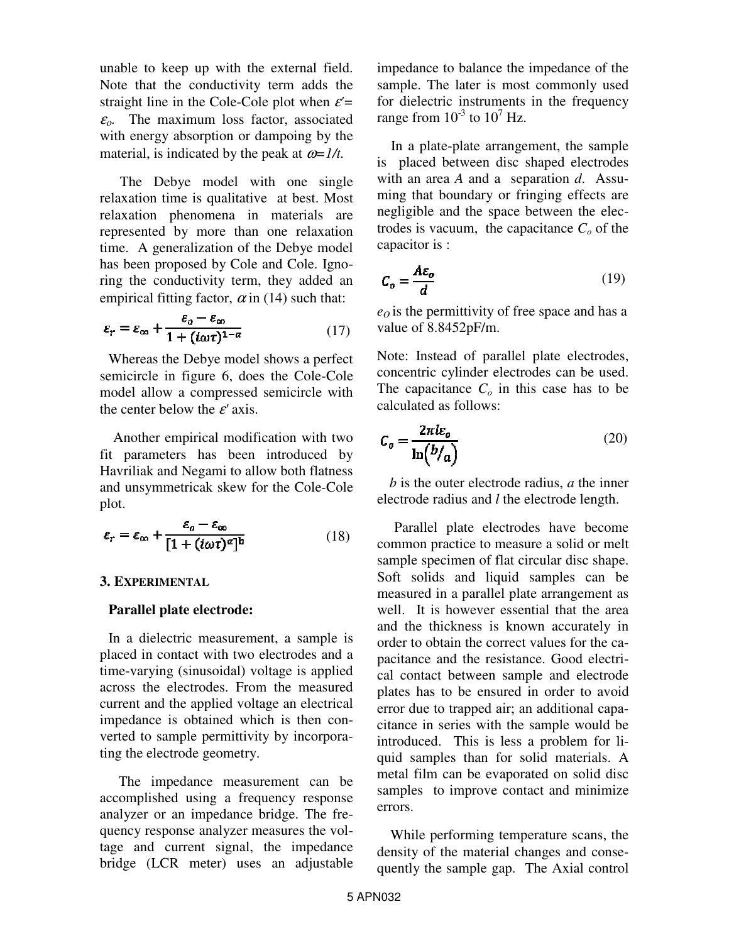unable to keep up with the external field. Note that the conductivity term adds the straight line in the Cole-Cole plot when  $\varepsilon'$ =  $\varepsilon_{0}$ . The maximum loss factor, associated with energy absorption or dampoing by the material, is indicated by the peak at  $\omega = 1/t$ .

 The Debye model with one single relaxation time is qualitative at best. Most relaxation phenomena in materials are represented by more than one relaxation time. A generalization of the Debye model has been proposed by Cole and Cole. Ignoring the conductivity term, they added an empirical fitting factor,  $\alpha$  in (14) such that:

$$
\varepsilon_r = \varepsilon_\infty + \frac{\varepsilon_o - \varepsilon_\infty}{1 + (i\omega\tau)^{1-\alpha}}\tag{17}
$$

Whereas the Debye model shows a perfect semicircle in figure 6, does the Cole-Cole model allow a compressed semicircle with the center below the ε*'* axis.

 Another empirical modification with two fit parameters has been introduced by Havriliak and Negami to allow both flatness and unsymmetricak skew for the Cole-Cole plot.

$$
\varepsilon_r = \varepsilon_\infty + \frac{\varepsilon_o - \varepsilon_\infty}{[1 + (i\omega\tau)^\alpha]^b}
$$
(18)

## **3. EXPERIMENTAL**

#### **Parallel plate electrode:**

In a dielectric measurement, a sample is placed in contact with two electrodes and a time-varying (sinusoidal) voltage is applied across the electrodes. From the measured current and the applied voltage an electrical impedance is obtained which is then converted to sample permittivity by incorporating the electrode geometry.

 The impedance measurement can be accomplished using a frequency response analyzer or an impedance bridge. The frequency response analyzer measures the voltage and current signal, the impedance bridge (LCR meter) uses an adjustable impedance to balance the impedance of the sample. The later is most commonly used for dielectric instruments in the frequency range from  $10^{-3}$  to  $10^7$  Hz.

 In a plate-plate arrangement, the sample is placed between disc shaped electrodes with an area *A* and a separation *d*. Assuming that boundary or fringing effects are negligible and the space between the electrodes is vacuum, the capacitance  $C<sub>o</sub>$  of the capacitor is :

$$
C_o = \frac{A\varepsilon_o}{d} \tag{19}
$$

 $e_0$  is the permittivity of free space and has a value of 8.8452pF/m.

Note: Instead of parallel plate electrodes, concentric cylinder electrodes can be used. The capacitance  $C<sub>o</sub>$  in this case has to be calculated as follows:

$$
C_o = \frac{2\pi l \varepsilon_o}{\ln(b/a)}
$$
 (20)

*b* is the outer electrode radius, *a* the inner electrode radius and *l* the electrode length.

 Parallel plate electrodes have become common practice to measure a solid or melt sample specimen of flat circular disc shape. Soft solids and liquid samples can be measured in a parallel plate arrangement as well. It is however essential that the area and the thickness is known accurately in order to obtain the correct values for the capacitance and the resistance. Good electrical contact between sample and electrode plates has to be ensured in order to avoid error due to trapped air; an additional capacitance in series with the sample would be introduced. This is less a problem for liquid samples than for solid materials. A metal film can be evaporated on solid disc samples to improve contact and minimize errors.

 While performing temperature scans, the density of the material changes and consequently the sample gap. The Axial control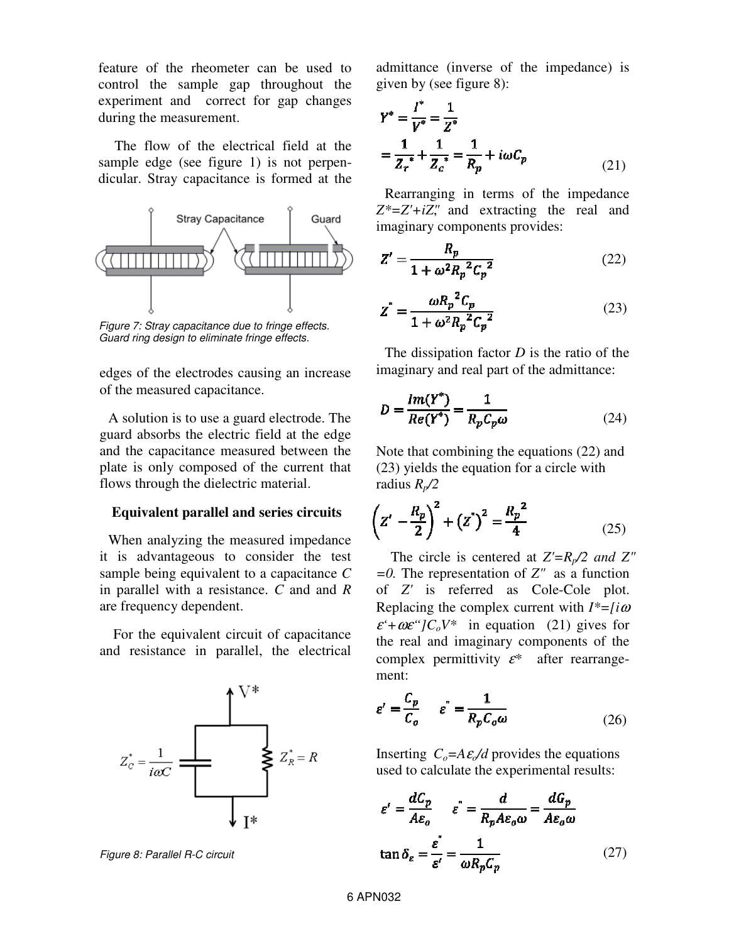feature of the rheometer can be used to control the sample gap throughout the experiment and correct for gap changes during the measurement.

 The flow of the electrical field at the sample edge (see figure 1) is not perpendicular. Stray capacitance is formed at the



Figure 7: Stray capacitance due to fringe effects. Guard ring design to eliminate fringe effects.

edges of the electrodes causing an increase of the measured capacitance.

A solution is to use a guard electrode. The guard absorbs the electric field at the edge and the capacitance measured between the plate is only composed of the current that flows through the dielectric material.

#### **Equivalent parallel and series circuits**

When analyzing the measured impedance it is advantageous to consider the test sample being equivalent to a capacitance *C* in parallel with a resistance. *C* and and *R* are frequency dependent.

 For the equivalent circuit of capacitance and resistance in parallel, the electrical



Figure 8: Parallel R-C circuit

admittance (inverse of the impedance) is given by (see figure 8):

$$
Y^* = \frac{I^*}{V^*} = \frac{1}{Z^*}
$$
  
=  $\frac{1}{Z_r^*} + \frac{1}{Z_c^*} = \frac{1}{R_p} + i\omega C_p$  (21)

Rearranging in terms of the impedance *Z\*=Z'+iZ"*, and extracting the real and imaginary components provides:

$$
Z' = \frac{R_p}{1 + \omega^2 R_p^2 C_p^2}
$$
 (22)

$$
Z^{"} = \frac{\omega R_p^2 C_p}{1 + \omega^2 R_p^2 C_p^2}
$$
 (23)

The dissipation factor *D* is the ratio of the imaginary and real part of the admittance:

$$
D = \frac{Im(Y^*)}{Re(Y^*)} = \frac{1}{R_p C_p \omega}
$$
 (24)

Note that combining the equations (22) and (23) yields the equation for a circle with radius *Rp/2*

$$
\left(Z' - \frac{R_p}{2}\right)^2 + \left(Z'\right)^2 = \frac{R_p^2}{4}
$$
 (25)

 The circle is centered at *Z'=Rp/2 and Z" =0.* The representation of *Z"* as a function of *Z'* is referred as Cole-Cole plot. Replacing the complex current with *I\*=[i*<sup>ω</sup>  $\varepsilon^4 + \omega \varepsilon^{\alpha}$ *[C<sub>o</sub>V\** in equation (21) gives for the real and imaginary components of the complex permittivity <sup>ε</sup>*\** after rearrangement:

$$
\varepsilon' = \frac{C_p}{C_o} \qquad \varepsilon'' = \frac{1}{R_p C_o \omega} \tag{26}
$$

Inserting  $C_o = A \varepsilon / d$  provides the equations used to calculate the experimental results:

$$
\varepsilon' = \frac{dC_p}{A\varepsilon_o} \qquad \varepsilon'' = \frac{d}{R_p A\varepsilon_o \omega} = \frac{dG_p}{A\varepsilon_o \omega}
$$
  

$$
\tan \delta_{\varepsilon} = \frac{\varepsilon''}{\varepsilon'} = \frac{1}{\omega R_p C_p} \tag{27}
$$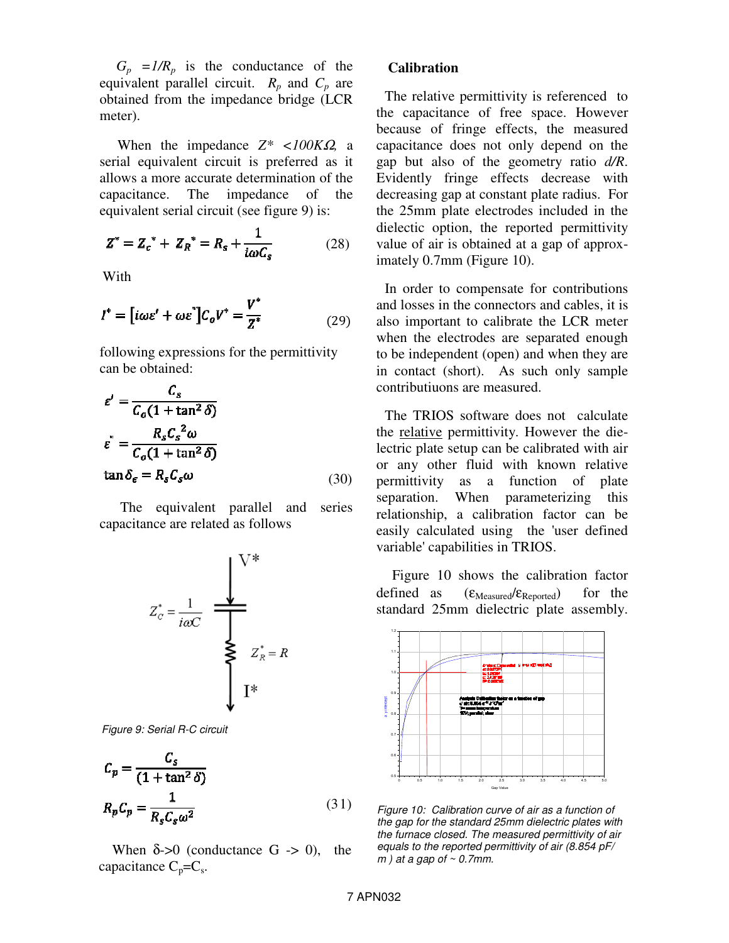$G_p = I/R_p$  is the conductance of the equivalent parallel circuit.  $R_p$  and  $C_p$  are obtained from the impedance bridge (LCR meter).

 When the impedance *Z\* <100K*Ω*,* a serial equivalent circuit is preferred as it allows a more accurate determination of the capacitance. The impedance of the equivalent serial circuit (see figure 9) is:

$$
Z^* = Z_c^* + Z_R^* = R_s + \frac{1}{i\omega C_s}
$$
 (28)

With

$$
I^* = [i\omega\varepsilon' + \omega\varepsilon^*]C_o V^* = \frac{V^*}{Z^*}
$$
 (29)

following expressions for the permittivity can be obtained:

$$
\varepsilon' = \frac{C_s}{C_o (1 + \tan^2 \delta)}
$$
  

$$
\varepsilon'' = \frac{R_s C_s^2 \omega}{C_o (1 + \tan^2 \delta)}
$$
  

$$
\tan \delta_{\epsilon} = R_s C_s \omega
$$
 (30)

The equivalent parallel and series capacitance are related as follows



Figure 9: Serial R-C circuit

$$
C_p = \frac{C_s}{(1 + \tan^2 \delta)}
$$
  

$$
R_p C_p = \frac{1}{R_s C_s \omega^2}
$$
 (31)

When  $\delta > 0$  (conductance G  $\sim$  0), the capacitance  $C_p=C_s$ .

#### **Calibration**

The relative permittivity is referenced to the capacitance of free space. However because of fringe effects, the measured capacitance does not only depend on the gap but also of the geometry ratio *d/R*. Evidently fringe effects decrease with decreasing gap at constant plate radius. For the 25mm plate electrodes included in the dielectic option, the reported permittivity value of air is obtained at a gap of approximately 0.7mm (Figure 10).

In order to compensate for contributions and losses in the connectors and cables, it is also important to calibrate the LCR meter when the electrodes are separated enough to be independent (open) and when they are in contact (short). As such only sample contributiuons are measured.

The TRIOS software does not calculate the relative permittivity. However the dielectric plate setup can be calibrated with air or any other fluid with known relative permittivity as a function of plate separation. When parameterizing this relationship, a calibration factor can be easily calculated using the 'user defined variable' capabilities in TRIOS.

 Figure 10 shows the calibration factor defined as  $(\epsilon_{\text{Measured}}/\epsilon_{\text{Reported}})$  for the standard 25mm dielectric plate assembly.



Figure 10: Calibration curve of air as a function of the gap for the standard 25mm dielectric plates with the furnace closed. The measured permittivity of air equals to the reported permittivity of air (8.854 pF/  $m$ ) at a gap of  $\sim$  0.7mm.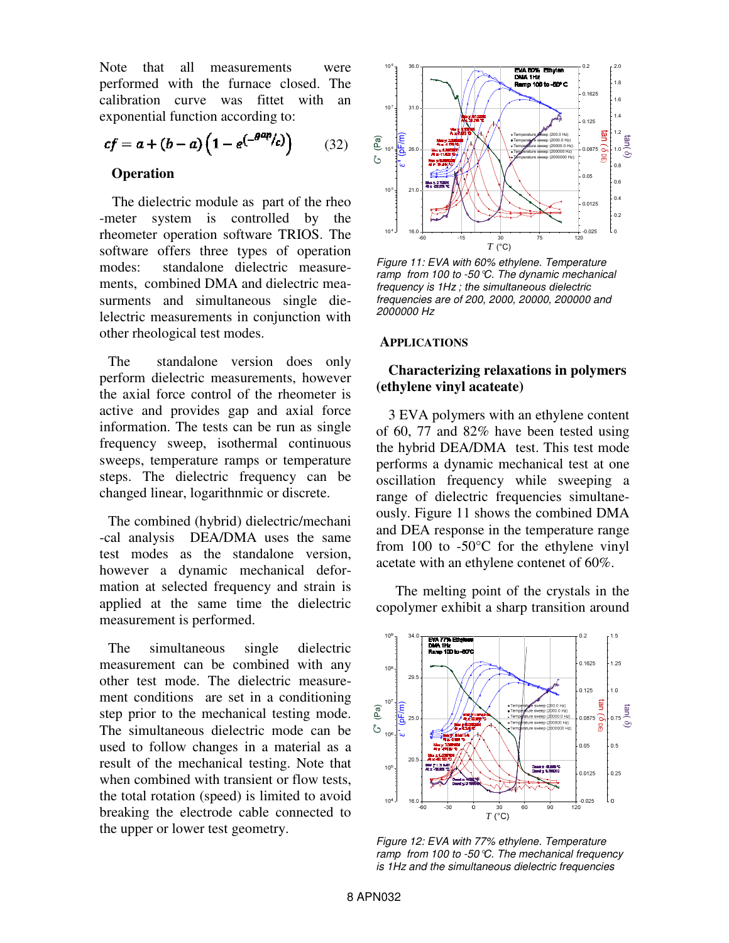Note that all measurements were performed with the furnace closed. The calibration curve was fittet with an exponential function according to:

$$
cf = a + (b - a) \left( 1 - e^{-\theta^{ap}}/c \right) \tag{32}
$$

# **Operation**

 The dielectric module as part of the rheo -meter system is controlled by the rheometer operation software TRIOS. The software offers three types of operation modes: standalone dielectric measurements, combined DMA and dielectric measurments and simultaneous single dielelectric measurements in conjunction with other rheological test modes.

The standalone version does only perform dielectric measurements, however the axial force control of the rheometer is active and provides gap and axial force information. The tests can be run as single frequency sweep, isothermal continuous sweeps, temperature ramps or temperature steps. The dielectric frequency can be changed linear, logarithnmic or discrete.

The combined (hybrid) dielectric/mechani -cal analysis DEA/DMA uses the same test modes as the standalone version, however a dynamic mechanical deformation at selected frequency and strain is applied at the same time the dielectric measurement is performed.

The simultaneous single dielectric measurement can be combined with any other test mode. The dielectric measurement conditions are set in a conditioning step prior to the mechanical testing mode. The simultaneous dielectric mode can be used to follow changes in a material as a result of the mechanical testing. Note that when combined with transient or flow tests, the total rotation (speed) is limited to avoid breaking the electrode cable connected to the upper or lower test geometry.



Figure 11: EVA with 60% ethylene. Temperature ramp from 100 to -50°C. The dynamic mechanical frequency is 1Hz ; the simultaneous dielectric frequencies are of 200, 2000, 20000, 200000 and 2000000 Hz

#### **APPLICATIONS**

# **Characterizing relaxations in polymers (ethylene vinyl acateate)**

 3 EVA polymers with an ethylene content of 60, 77 and 82% have been tested using the hybrid DEA/DMA test. This test mode performs a dynamic mechanical test at one oscillation frequency while sweeping a range of dielectric frequencies simultaneously. Figure 11 shows the combined DMA and DEA response in the temperature range from 100 to  $-50^{\circ}$ C for the ethylene vinyl acetate with an ethylene contenet of 60%.

 The melting point of the crystals in the copolymer exhibit a sharp transition around



Figure 12: EVA with 77% ethylene. Temperature ramp from 100 to -50  $\mathbb C$ . The mechanical frequency is 1Hz and the simultaneous dielectric frequencies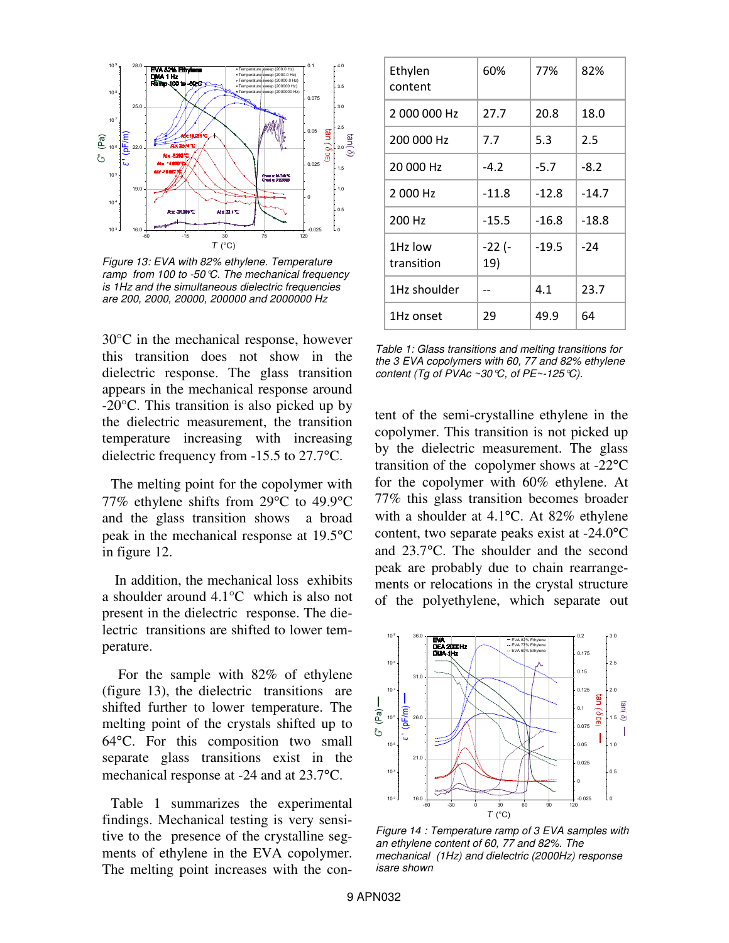

Figure 13: EVA with 82% ethylene. Temperature ramp from 100 to -50°C. The mechanical frequency is 1Hz and the simultaneous dielectric frequencies are 200, 2000, 20000, 200000 and 2000000 Hz

30°C in the mechanical response, however this transition does not show in the dielectric response. The glass transition appears in the mechanical response around -20°C. This transition is also picked up by the dielectric measurement, the transition temperature increasing with increasing dielectric frequency from -15.5 to 27.7°C.

The melting point for the copolymer with 77% ethylene shifts from 29°C to 49.9°C and the glass transition shows a broad peak in the mechanical response at 19.5°C in figure 12.

 In addition, the mechanical loss exhibits a shoulder around 4.1°C which is also not present in the dielectric response. The dielectric transitions are shifted to lower temperature.

 For the sample with 82% of ethylene (figure 13), the dielectric transitions are shifted further to lower temperature. The melting point of the crystals shifted up to 64°C. For this composition two small separate glass transitions exist in the mechanical response at -24 and at 23.7°C.

Table 1 summarizes the experimental findings. Mechanical testing is very sensitive to the presence of the crystalline segments of ethylene in the EVA copolymer. The melting point increases with the con-

| Ethylen<br>content    | 60%           | 77%     | 82%     |
|-----------------------|---------------|---------|---------|
| 2000000 Hz            | 27.7          | 20.8    | 18.0    |
| 200 000 Hz            | 7.7           | 5.3     | 2.5     |
| 20 000 Hz             | $-4.2$        | $-5.7$  | $-8.2$  |
| 2 000 Hz              | $-11.8$       | $-12.8$ | $-14.7$ |
| 200 Hz                | $-15.5$       | $-16.8$ | $-18.8$ |
| 1Hz low<br>transition | -22 (-<br>19) | $-19.5$ | $-24$   |
| 1Hz shoulder          |               | 4.1     | 23.7    |
| 1Hz onset             | 29            | 49.9    | 64      |

Table 1: Glass transitions and melting transitions for the 3 EVA copolymers with 60, 77 and 82% ethylene content (Tg of PVAc ~30  $\mathcal{C}$ , of PE~-125  $\mathcal{C}$ ).

tent of the semi-crystalline ethylene in the copolymer. This transition is not picked up by the dielectric measurement. The glass transition of the copolymer shows at -22°C for the copolymer with 60% ethylene. At 77% this glass transition becomes broader with a shoulder at 4.1<sup>o</sup>C. At 82% ethylene content, two separate peaks exist at -24.0°C and 23.7°C. The shoulder and the second peak are probably due to chain rearrangements or relocations in the crystal structure of the polyethylene, which separate out



Figure 14 : Temperature ramp of 3 EVA samples with an ethylene content of 60, 77 and 82%. The mechanical (1Hz) and dielectric (2000Hz) response isare shown